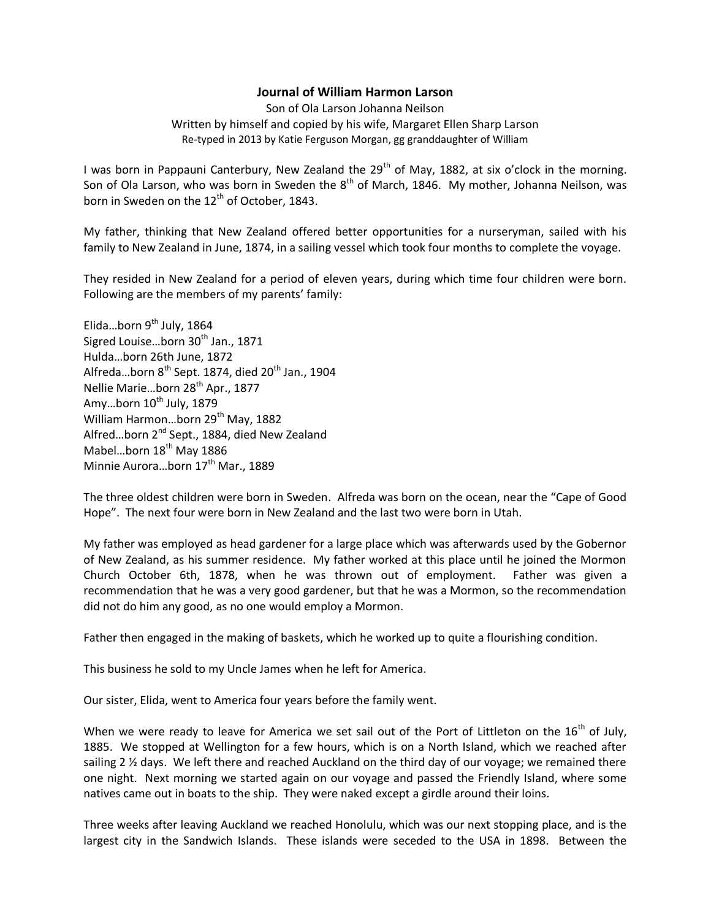## **Journal of William Harmon Larson**

Son of Ola Larson Johanna Neilson Written by himself and copied by his wife, Margaret Ellen Sharp Larson Re-typed in 2013 by Katie Ferguson Morgan, gg granddaughter of William

I was born in Pappauni Canterbury, New Zealand the 29<sup>th</sup> of May, 1882, at six o'clock in the morning. Son of Ola Larson, who was born in Sweden the  $8<sup>th</sup>$  of March, 1846. My mother, Johanna Neilson, was born in Sweden on the  $12<sup>th</sup>$  of October, 1843.

My father, thinking that New Zealand offered better opportunities for a nurseryman, sailed with his family to New Zealand in June, 1874, in a sailing vessel which took four months to complete the voyage.

They resided in New Zealand for a period of eleven years, during which time four children were born. Following are the members of my parents' family:

Elida...born  $9^{th}$  July, 1864 Sigred Louise...born  $30<sup>th</sup>$  Jan., 1871 Hulda…born 26th June, 1872 Alfreda...born  $8^{th}$  Sept. 1874, died  $20^{th}$  Jan., 1904 Nellie Marie...born 28<sup>th</sup> Apr., 1877 Amy...born  $10^{th}$  July, 1879 William Harmon...born 29<sup>th</sup> May, 1882 Alfred...born 2<sup>nd</sup> Sept., 1884, died New Zealand Mabel...born 18<sup>th</sup> May 1886 Minnie Aurora...born 17<sup>th</sup> Mar., 1889

The three oldest children were born in Sweden. Alfreda was born on the ocean, near the "Cape of Good Hope". The next four were born in New Zealand and the last two were born in Utah.

My father was employed as head gardener for a large place which was afterwards used by the Gobernor of New Zealand, as his summer residence. My father worked at this place until he joined the Mormon Church October 6th, 1878, when he was thrown out of employment. Father was given a recommendation that he was a very good gardener, but that he was a Mormon, so the recommendation did not do him any good, as no one would employ a Mormon.

Father then engaged in the making of baskets, which he worked up to quite a flourishing condition.

This business he sold to my Uncle James when he left for America.

Our sister, Elida, went to America four years before the family went.

When we were ready to leave for America we set sail out of the Port of Littleton on the  $16<sup>th</sup>$  of July, 1885. We stopped at Wellington for a few hours, which is on a North Island, which we reached after sailing 2 ½ days. We left there and reached Auckland on the third day of our voyage; we remained there one night. Next morning we started again on our voyage and passed the Friendly Island, where some natives came out in boats to the ship. They were naked except a girdle around their loins.

Three weeks after leaving Auckland we reached Honolulu, which was our next stopping place, and is the largest city in the Sandwich Islands. These islands were seceded to the USA in 1898. Between the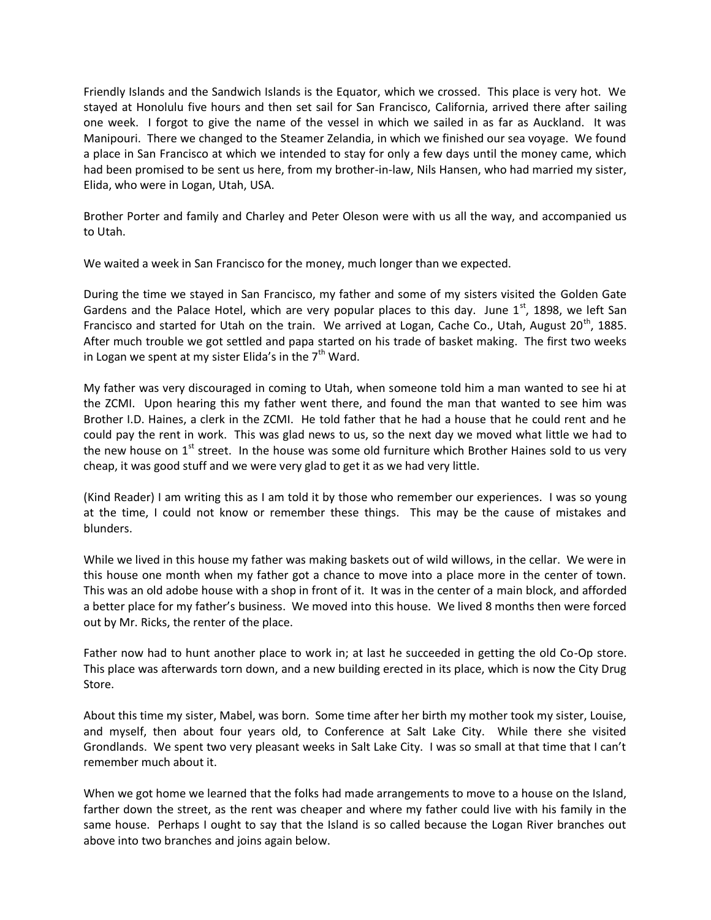Friendly Islands and the Sandwich Islands is the Equator, which we crossed. This place is very hot. We stayed at Honolulu five hours and then set sail for San Francisco, California, arrived there after sailing one week. I forgot to give the name of the vessel in which we sailed in as far as Auckland. It was Manipouri. There we changed to the Steamer Zelandia, in which we finished our sea voyage. We found a place in San Francisco at which we intended to stay for only a few days until the money came, which had been promised to be sent us here, from my brother-in-law, Nils Hansen, who had married my sister, Elida, who were in Logan, Utah, USA.

Brother Porter and family and Charley and Peter Oleson were with us all the way, and accompanied us to Utah.

We waited a week in San Francisco for the money, much longer than we expected.

During the time we stayed in San Francisco, my father and some of my sisters visited the Golden Gate Gardens and the Palace Hotel, which are very popular places to this day. June  $1<sup>st</sup>$ , 1898, we left San Francisco and started for Utah on the train. We arrived at Logan, Cache Co., Utah, August 20<sup>th</sup>, 1885. After much trouble we got settled and papa started on his trade of basket making. The first two weeks in Logan we spent at my sister Elida's in the  $7<sup>th</sup>$  Ward.

My father was very discouraged in coming to Utah, when someone told him a man wanted to see hi at the ZCMI. Upon hearing this my father went there, and found the man that wanted to see him was Brother I.D. Haines, a clerk in the ZCMI. He told father that he had a house that he could rent and he could pay the rent in work. This was glad news to us, so the next day we moved what little we had to the new house on  $1^{st}$  street. In the house was some old furniture which Brother Haines sold to us very cheap, it was good stuff and we were very glad to get it as we had very little.

(Kind Reader) I am writing this as I am told it by those who remember our experiences. I was so young at the time, I could not know or remember these things. This may be the cause of mistakes and blunders.

While we lived in this house my father was making baskets out of wild willows, in the cellar. We were in this house one month when my father got a chance to move into a place more in the center of town. This was an old adobe house with a shop in front of it. It was in the center of a main block, and afforded a better place for my father's business. We moved into this house. We lived 8 months then were forced out by Mr. Ricks, the renter of the place.

Father now had to hunt another place to work in; at last he succeeded in getting the old Co-Op store. This place was afterwards torn down, and a new building erected in its place, which is now the City Drug Store.

About this time my sister, Mabel, was born. Some time after her birth my mother took my sister, Louise, and myself, then about four years old, to Conference at Salt Lake City. While there she visited Grondlands. We spent two very pleasant weeks in Salt Lake City. I was so small at that time that I can't remember much about it.

When we got home we learned that the folks had made arrangements to move to a house on the Island, farther down the street, as the rent was cheaper and where my father could live with his family in the same house. Perhaps I ought to say that the Island is so called because the Logan River branches out above into two branches and joins again below.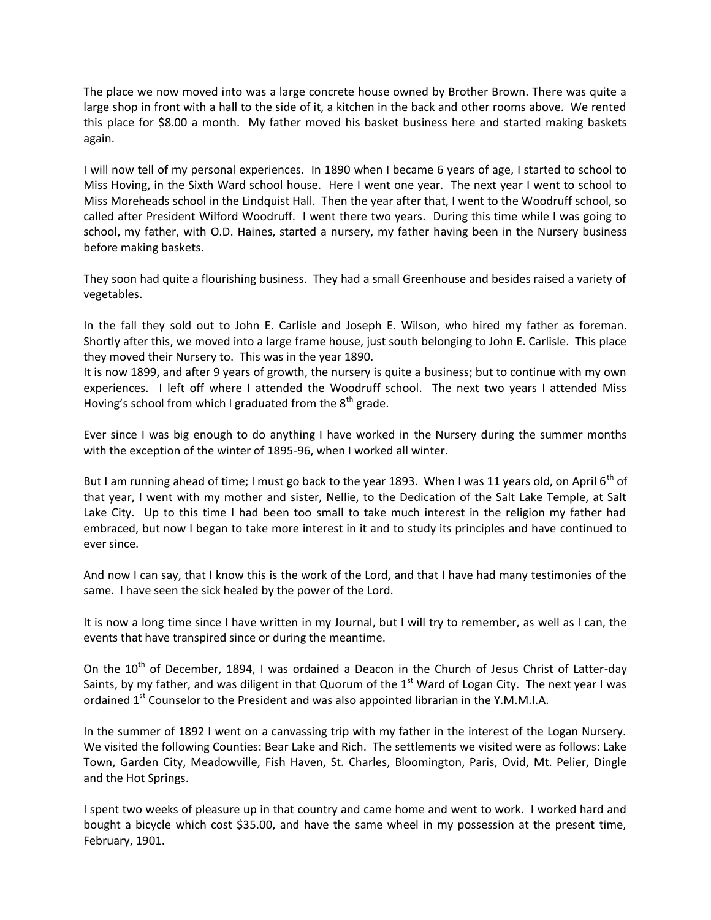The place we now moved into was a large concrete house owned by Brother Brown. There was quite a large shop in front with a hall to the side of it, a kitchen in the back and other rooms above. We rented this place for \$8.00 a month. My father moved his basket business here and started making baskets again.

I will now tell of my personal experiences. In 1890 when I became 6 years of age, I started to school to Miss Hoving, in the Sixth Ward school house. Here I went one year. The next year I went to school to Miss Moreheads school in the Lindquist Hall. Then the year after that, I went to the Woodruff school, so called after President Wilford Woodruff. I went there two years. During this time while I was going to school, my father, with O.D. Haines, started a nursery, my father having been in the Nursery business before making baskets.

They soon had quite a flourishing business. They had a small Greenhouse and besides raised a variety of vegetables.

In the fall they sold out to John E. Carlisle and Joseph E. Wilson, who hired my father as foreman. Shortly after this, we moved into a large frame house, just south belonging to John E. Carlisle. This place they moved their Nursery to. This was in the year 1890.

It is now 1899, and after 9 years of growth, the nursery is quite a business; but to continue with my own experiences. I left off where I attended the Woodruff school. The next two years I attended Miss Hoving's school from which I graduated from the  $8<sup>th</sup>$  grade.

Ever since I was big enough to do anything I have worked in the Nursery during the summer months with the exception of the winter of 1895-96, when I worked all winter.

But I am running ahead of time; I must go back to the year 1893. When I was 11 years old, on April 6<sup>th</sup> of that year, I went with my mother and sister, Nellie, to the Dedication of the Salt Lake Temple, at Salt Lake City. Up to this time I had been too small to take much interest in the religion my father had embraced, but now I began to take more interest in it and to study its principles and have continued to ever since.

And now I can say, that I know this is the work of the Lord, and that I have had many testimonies of the same. I have seen the sick healed by the power of the Lord.

It is now a long time since I have written in my Journal, but I will try to remember, as well as I can, the events that have transpired since or during the meantime.

On the 10<sup>th</sup> of December, 1894, I was ordained a Deacon in the Church of Jesus Christ of Latter-day Saints, by my father, and was diligent in that Quorum of the  $1<sup>st</sup>$  Ward of Logan City. The next year I was ordained  $1<sup>st</sup>$  Counselor to the President and was also appointed librarian in the Y.M.M.I.A.

In the summer of 1892 I went on a canvassing trip with my father in the interest of the Logan Nursery. We visited the following Counties: Bear Lake and Rich. The settlements we visited were as follows: Lake Town, Garden City, Meadowville, Fish Haven, St. Charles, Bloomington, Paris, Ovid, Mt. Pelier, Dingle and the Hot Springs.

I spent two weeks of pleasure up in that country and came home and went to work. I worked hard and bought a bicycle which cost \$35.00, and have the same wheel in my possession at the present time, February, 1901.